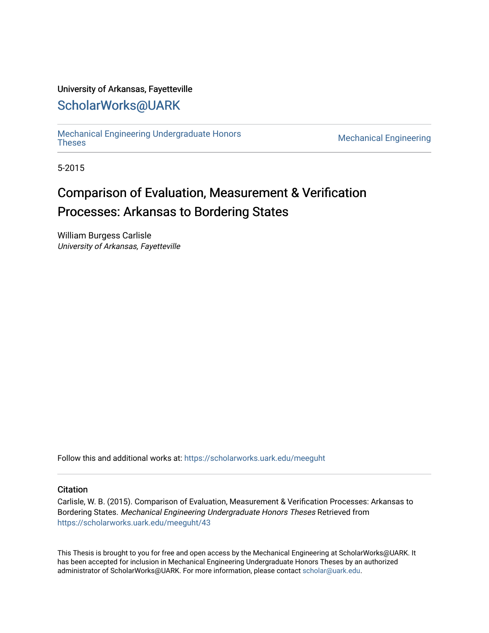#### University of Arkansas, Fayetteville

# [ScholarWorks@UARK](https://scholarworks.uark.edu/)

[Mechanical Engineering Undergraduate Honors](https://scholarworks.uark.edu/meeguht)

**Mechanical Engineering** 

5-2015

# Comparison of Evaluation, Measurement & Verification Processes: Arkansas to Bordering States

William Burgess Carlisle University of Arkansas, Fayetteville

Follow this and additional works at: [https://scholarworks.uark.edu/meeguht](https://scholarworks.uark.edu/meeguht?utm_source=scholarworks.uark.edu%2Fmeeguht%2F43&utm_medium=PDF&utm_campaign=PDFCoverPages) 

#### **Citation**

Carlisle, W. B. (2015). Comparison of Evaluation, Measurement & Verification Processes: Arkansas to Bordering States. Mechanical Engineering Undergraduate Honors Theses Retrieved from [https://scholarworks.uark.edu/meeguht/43](https://scholarworks.uark.edu/meeguht/43?utm_source=scholarworks.uark.edu%2Fmeeguht%2F43&utm_medium=PDF&utm_campaign=PDFCoverPages) 

This Thesis is brought to you for free and open access by the Mechanical Engineering at ScholarWorks@UARK. It has been accepted for inclusion in Mechanical Engineering Undergraduate Honors Theses by an authorized administrator of ScholarWorks@UARK. For more information, please contact [scholar@uark.edu](mailto:scholar@uark.edu).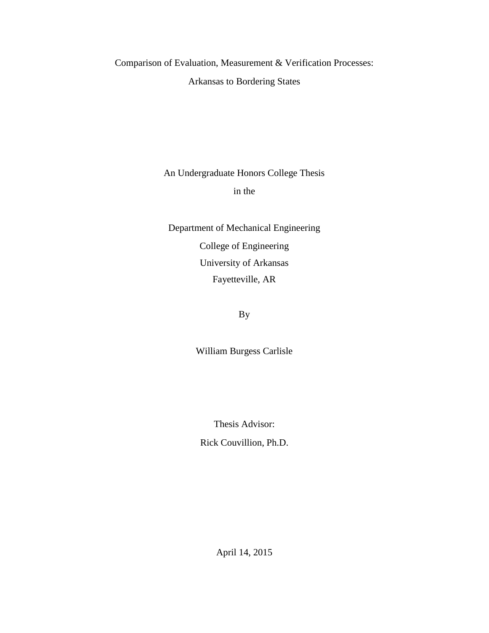Comparison of Evaluation, Measurement & Verification Processes:

Arkansas to Bordering States

An Undergraduate Honors College Thesis in the

Department of Mechanical Engineering College of Engineering University of Arkansas Fayetteville, AR

By

William Burgess Carlisle

Thesis Advisor: Rick Couvillion, Ph.D.

April 14, 2015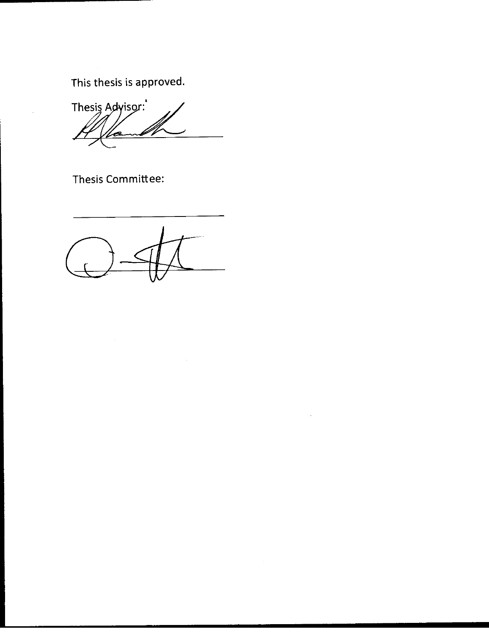This thesis is approved.

Thesis Advisor: Ó

Thesis Committee:

 $\sim$   $\alpha$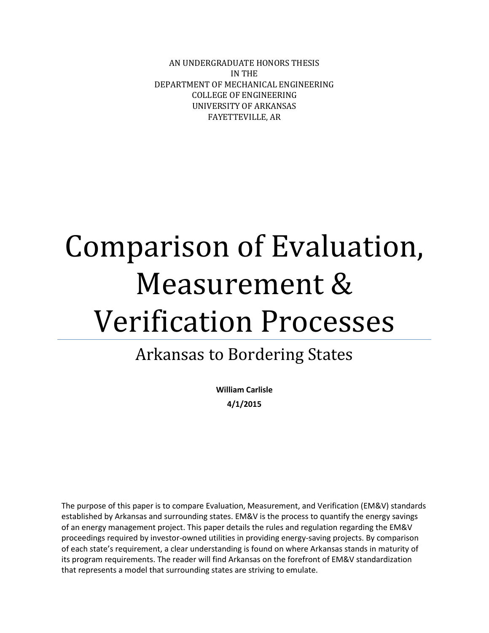AN UNDERGRADUATE HONORS THESIS IN THE DEPARTMENT OF MECHANICAL ENGINEERING COLLEGE OF ENGINEERING UNIVERSITY OF ARKANSAS FAYETTEVILLE, AR

# Comparison of Evaluation, Measurement & Verification Processes

# Arkansas to Bordering States

**William Carlisle 4/1/2015**

The purpose of this paper is to compare Evaluation, Measurement, and Verification (EM&V) standards established by Arkansas and surrounding states. EM&V is the process to quantify the energy savings of an energy management project. This paper details the rules and regulation regarding the EM&V proceedings required by investor-owned utilities in providing energy-saving projects. By comparison of each state's requirement, a clear understanding is found on where Arkansas stands in maturity of its program requirements. The reader will find Arkansas on the forefront of EM&V standardization that represents a model that surrounding states are striving to emulate.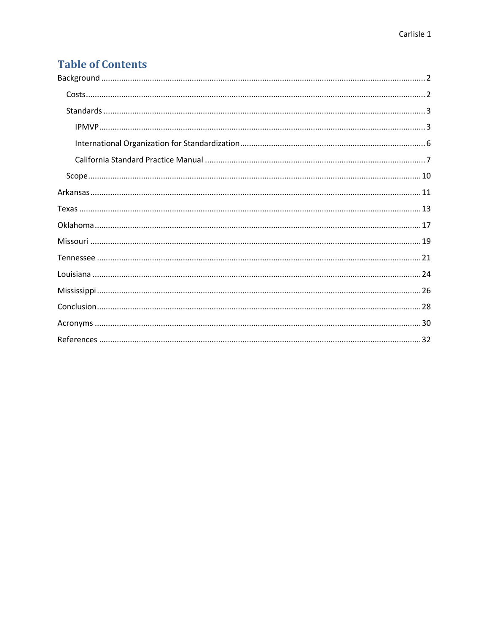# **Table of Contents**

<span id="page-4-0"></span>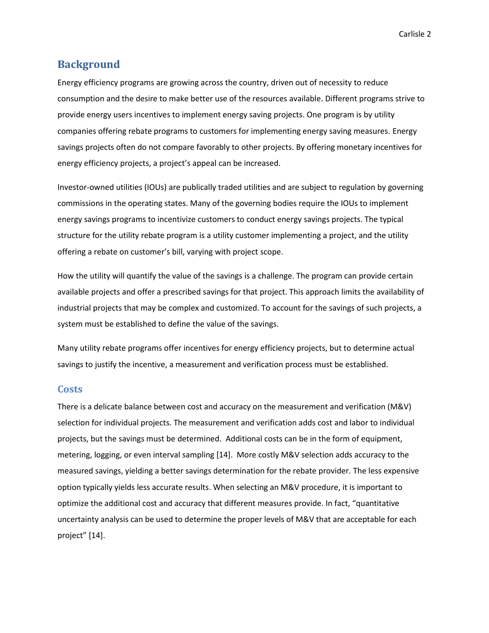# **Background**

Energy efficiency programs are growing across the country, driven out of necessity to reduce consumption and the desire to make better use of the resources available. Different programs strive to provide energy users incentives to implement energy saving projects. One program is by utility companies offering rebate programs to customers for implementing energy saving measures. Energy savings projects often do not compare favorably to other projects. By offering monetary incentives for energy efficiency projects, a project's appeal can be increased.

Investor-owned utilities (IOUs) are publically traded utilities and are subject to regulation by governing commissions in the operating states. Many of the governing bodies require the IOUs to implement energy savings programs to incentivize customers to conduct energy savings projects. The typical structure for the utility rebate program is a utility customer implementing a project, and the utility offering a rebate on customer's bill, varying with project scope.

How the utility will quantify the value of the savings is a challenge. The program can provide certain available projects and offer a prescribed savings for that project. This approach limits the availability of industrial projects that may be complex and customized. To account for the savings of such projects, a system must be established to define the value of the savings.

Many utility rebate programs offer incentives for energy efficiency projects, but to determine actual savings to justify the incentive, a measurement and verification process must be established.

#### <span id="page-5-0"></span>**Costs**

There is a delicate balance between cost and accuracy on the measurement and verification (M&V) selection for individual projects. The measurement and verification adds cost and labor to individual projects, but the savings must be determined. Additional costs can be in the form of equipment, metering, logging, or even interval sampling [14]. More costly M&V selection adds accuracy to the measured savings, yielding a better savings determination for the rebate provider. The less expensive option typically yields less accurate results. When selecting an M&V procedure, it is important to optimize the additional cost and accuracy that different measures provide. In fact, "quantitative uncertainty analysis can be used to determine the proper levels of M&V that are acceptable for each project" [14].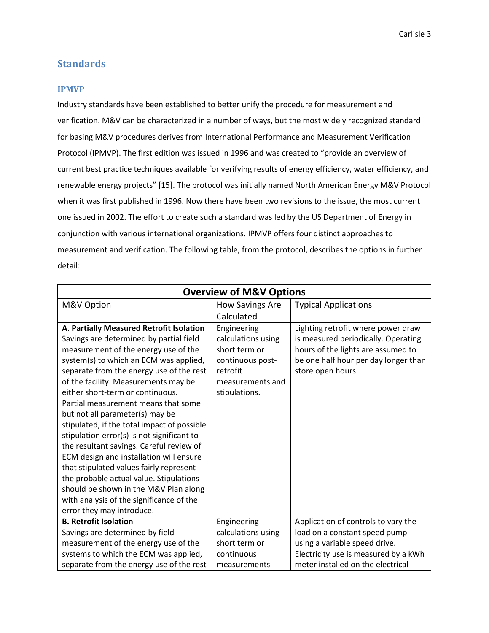## <span id="page-6-0"></span>**Standards**

#### <span id="page-6-1"></span>**IPMVP**

Industry standards have been established to better unify the procedure for measurement and verification. M&V can be characterized in a number of ways, but the most widely recognized standard for basing M&V procedures derives from International Performance and Measurement Verification Protocol (IPMVP). The first edition was issued in 1996 and was created to "provide an overview of current best practice techniques available for verifying results of energy efficiency, water efficiency, and renewable energy projects" [15]. The protocol was initially named North American Energy M&V Protocol when it was first published in 1996. Now there have been two revisions to the issue, the most current one issued in 2002. The effort to create such a standard was led by the US Department of Energy in conjunction with various international organizations. IPMVP offers four distinct approaches to measurement and verification. The following table, from the protocol, describes the options in further detail:

| <b>Overview of M&amp;V Options</b>          |                    |                                      |  |  |
|---------------------------------------------|--------------------|--------------------------------------|--|--|
| M&V Option                                  | How Savings Are    | <b>Typical Applications</b>          |  |  |
|                                             | Calculated         |                                      |  |  |
| A. Partially Measured Retrofit Isolation    | Engineering        | Lighting retrofit where power draw   |  |  |
| Savings are determined by partial field     | calculations using | is measured periodically. Operating  |  |  |
| measurement of the energy use of the        | short term or      | hours of the lights are assumed to   |  |  |
| system(s) to which an ECM was applied,      | continuous post-   | be one half hour per day longer than |  |  |
| separate from the energy use of the rest    | retrofit           | store open hours.                    |  |  |
| of the facility. Measurements may be        | measurements and   |                                      |  |  |
| either short-term or continuous.            | stipulations.      |                                      |  |  |
| Partial measurement means that some         |                    |                                      |  |  |
| but not all parameter(s) may be             |                    |                                      |  |  |
| stipulated, if the total impact of possible |                    |                                      |  |  |
| stipulation error(s) is not significant to  |                    |                                      |  |  |
| the resultant savings. Careful review of    |                    |                                      |  |  |
| ECM design and installation will ensure     |                    |                                      |  |  |
| that stipulated values fairly represent     |                    |                                      |  |  |
| the probable actual value. Stipulations     |                    |                                      |  |  |
| should be shown in the M&V Plan along       |                    |                                      |  |  |
| with analysis of the significance of the    |                    |                                      |  |  |
| error they may introduce.                   |                    |                                      |  |  |
| <b>B. Retrofit Isolation</b>                | Engineering        | Application of controls to vary the  |  |  |
| Savings are determined by field             | calculations using | load on a constant speed pump        |  |  |
| measurement of the energy use of the        | short term or      | using a variable speed drive.        |  |  |
| systems to which the ECM was applied,       | continuous         | Electricity use is measured by a kWh |  |  |
| separate from the energy use of the rest    | measurements       | meter installed on the electrical    |  |  |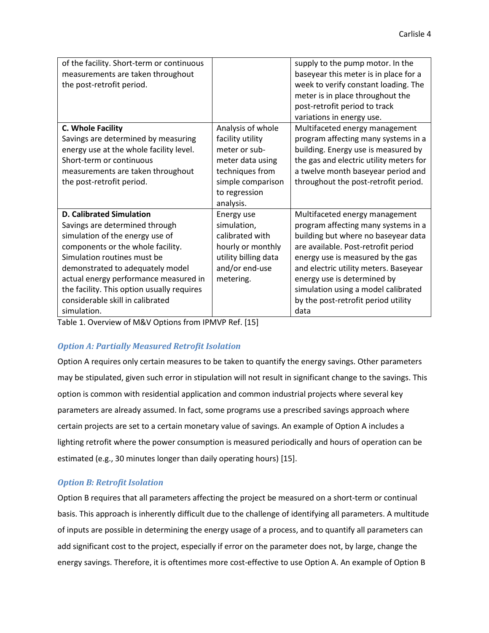| of the facility. Short-term or continuous<br>measurements are taken throughout<br>the post-retrofit period.                                                                                                                                                                                                                                            |                                                                                                                                                  | supply to the pump motor. In the<br>baseyear this meter is in place for a<br>week to verify constant loading. The<br>meter is in place throughout the<br>post-retrofit period to track<br>variations in energy use.                                                                                                                                    |
|--------------------------------------------------------------------------------------------------------------------------------------------------------------------------------------------------------------------------------------------------------------------------------------------------------------------------------------------------------|--------------------------------------------------------------------------------------------------------------------------------------------------|--------------------------------------------------------------------------------------------------------------------------------------------------------------------------------------------------------------------------------------------------------------------------------------------------------------------------------------------------------|
| C. Whole Facility<br>Savings are determined by measuring<br>energy use at the whole facility level.<br>Short-term or continuous<br>measurements are taken throughout<br>the post-retrofit period.                                                                                                                                                      | Analysis of whole<br>facility utility<br>meter or sub-<br>meter data using<br>techniques from<br>simple comparison<br>to regression<br>analysis. | Multifaceted energy management<br>program affecting many systems in a<br>building. Energy use is measured by<br>the gas and electric utility meters for<br>a twelve month baseyear period and<br>throughout the post-retrofit period.                                                                                                                  |
| <b>D. Calibrated Simulation</b><br>Savings are determined through<br>simulation of the energy use of<br>components or the whole facility.<br>Simulation routines must be<br>demonstrated to adequately model<br>actual energy performance measured in<br>the facility. This option usually requires<br>considerable skill in calibrated<br>simulation. | Energy use<br>simulation,<br>calibrated with<br>hourly or monthly<br>utility billing data<br>and/or end-use<br>metering.                         | Multifaceted energy management<br>program affecting many systems in a<br>building but where no baseyear data<br>are available. Post-retrofit period<br>energy use is measured by the gas<br>and electric utility meters. Baseyear<br>energy use is determined by<br>simulation using a model calibrated<br>by the post-retrofit period utility<br>data |

Table 1. Overview of M&V Options from IPMVP Ref. [15]

#### *Option A: Partially Measured Retrofit Isolation*

Option A requires only certain measures to be taken to quantify the energy savings. Other parameters may be stipulated, given such error in stipulation will not result in significant change to the savings. This option is common with residential application and common industrial projects where several key parameters are already assumed. In fact, some programs use a prescribed savings approach where certain projects are set to a certain monetary value of savings. An example of Option A includes a lighting retrofit where the power consumption is measured periodically and hours of operation can be estimated (e.g., 30 minutes longer than daily operating hours) [15].

#### *Option B: Retrofit Isolation*

Option B requires that all parameters affecting the project be measured on a short-term or continual basis. This approach is inherently difficult due to the challenge of identifying all parameters. A multitude of inputs are possible in determining the energy usage of a process, and to quantify all parameters can add significant cost to the project, especially if error on the parameter does not, by large, change the energy savings. Therefore, it is oftentimes more cost-effective to use Option A. An example of Option B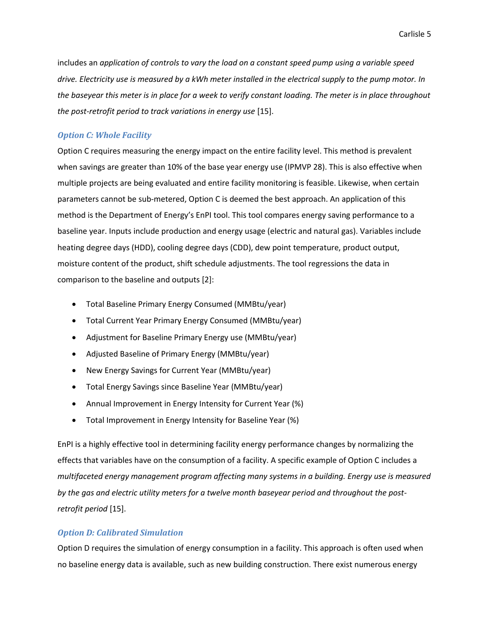includes an *application of controls to vary the load on a constant speed pump using a variable speed drive. Electricity use is measured by a kWh meter installed in the electrical supply to the pump motor. In the baseyear this meter is in place for a week to verify constant loading. The meter is in place throughout the post-retrofit period to track variations in energy use* [15].

#### *Option C: Whole Facility*

Option C requires measuring the energy impact on the entire facility level. This method is prevalent when savings are greater than 10% of the base year energy use (IPMVP 28). This is also effective when multiple projects are being evaluated and entire facility monitoring is feasible. Likewise, when certain parameters cannot be sub-metered, Option C is deemed the best approach. An application of this method is the Department of Energy's EnPI tool. This tool compares energy saving performance to a baseline year. Inputs include production and energy usage (electric and natural gas). Variables include heating degree days (HDD), cooling degree days (CDD), dew point temperature, product output, moisture content of the product, shift schedule adjustments. The tool regressions the data in comparison to the baseline and outputs [2]:

- Total Baseline Primary Energy Consumed (MMBtu/year)
- Total Current Year Primary Energy Consumed (MMBtu/year)
- Adjustment for Baseline Primary Energy use (MMBtu/year)
- Adjusted Baseline of Primary Energy (MMBtu/year)
- New Energy Savings for Current Year (MMBtu/year)
- Total Energy Savings since Baseline Year (MMBtu/year)
- Annual Improvement in Energy Intensity for Current Year (%)
- Total Improvement in Energy Intensity for Baseline Year (%)

EnPI is a highly effective tool in determining facility energy performance changes by normalizing the effects that variables have on the consumption of a facility. A specific example of Option C includes a *multifaceted energy management program affecting many systems in a building. Energy use is measured by the gas and electric utility meters for a twelve month baseyear period and throughout the postretrofit period* [15].

#### *Option D: Calibrated Simulation*

Option D requires the simulation of energy consumption in a facility. This approach is often used when no baseline energy data is available, such as new building construction. There exist numerous energy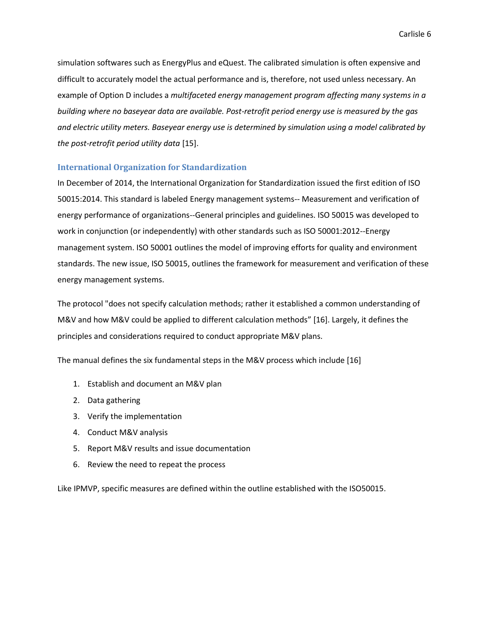simulation softwares such as EnergyPlus and eQuest. The calibrated simulation is often expensive and difficult to accurately model the actual performance and is, therefore, not used unless necessary. An example of Option D includes a *multifaceted energy management program affecting many systems in a building where no baseyear data are available. Post-retrofit period energy use is measured by the gas and electric utility meters. Baseyear energy use is determined by simulation using a model calibrated by the post-retrofit period utility data* [15].

#### <span id="page-9-0"></span>**International Organization for Standardization**

In December of 2014, the International Organization for Standardization issued the first edition of ISO 50015:2014. This standard is labeled Energy management systems-- Measurement and verification of energy performance of organizations--General principles and guidelines. ISO 50015 was developed to work in conjunction (or independently) with other standards such as ISO 50001:2012--Energy management system. ISO 50001 outlines the model of improving efforts for quality and environment standards. The new issue, ISO 50015, outlines the framework for measurement and verification of these energy management systems.

The protocol "does not specify calculation methods; rather it established a common understanding of M&V and how M&V could be applied to different calculation methods" [16]. Largely, it defines the principles and considerations required to conduct appropriate M&V plans.

The manual defines the six fundamental steps in the M&V process which include [16]

- 1. Establish and document an M&V plan
- 2. Data gathering
- 3. Verify the implementation
- 4. Conduct M&V analysis
- 5. Report M&V results and issue documentation
- 6. Review the need to repeat the process

Like IPMVP, specific measures are defined within the outline established with the ISO50015.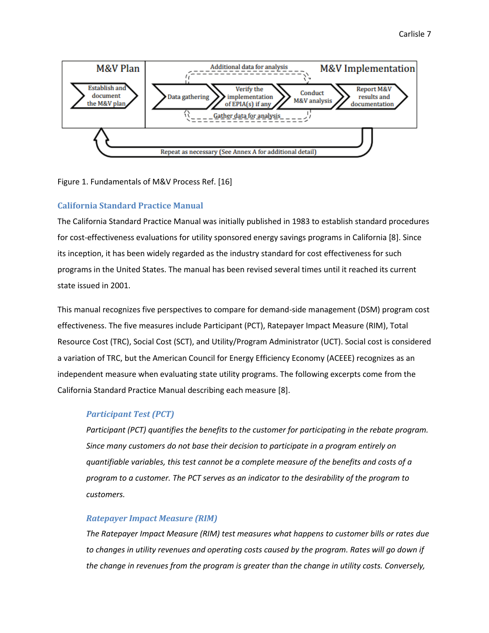

Figure 1. Fundamentals of M&V Process Ref. [16]

#### <span id="page-10-0"></span>**California Standard Practice Manual**

The California Standard Practice Manual was initially published in 1983 to establish standard procedures for cost-effectiveness evaluations for utility sponsored energy savings programs in California [8]. Since its inception, it has been widely regarded as the industry standard for cost effectiveness for such programs in the United States. The manual has been revised several times until it reached its current state issued in 2001.

This manual recognizes five perspectives to compare for demand-side management (DSM) program cost effectiveness. The five measures include Participant (PCT), Ratepayer Impact Measure (RIM), Total Resource Cost (TRC), Social Cost (SCT), and Utility/Program Administrator (UCT). Social cost is considered a variation of TRC, but the American Council for Energy Efficiency Economy (ACEEE) recognizes as an independent measure when evaluating state utility programs. The following excerpts come from the California Standard Practice Manual describing each measure [8].

#### *Participant Test (PCT)*

*Participant (PCT) quantifies the benefits to the customer for participating in the rebate program. Since many customers do not base their decision to participate in a program entirely on quantifiable variables, this test cannot be a complete measure of the benefits and costs of a program to a customer. The PCT serves as an indicator to the desirability of the program to customers.*

#### *Ratepayer Impact Measure (RIM)*

*The Ratepayer Impact Measure (RIM) test measures what happens to customer bills or rates due*  to changes in utility revenues and operating costs caused by the program. Rates will go down if *the change in revenues from the program is greater than the change in utility costs. Conversely,*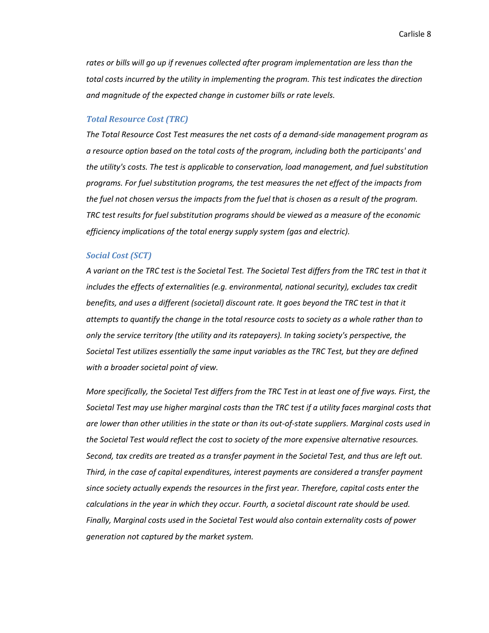rates or bills will go up if revenues collected after program implementation are less than the *total costs incurred by the utility in implementing the program. This test indicates the direction and magnitude of the expected change in customer bills or rate levels.*

#### *Total Resource Cost (TRC)*

*The Total Resource Cost Test measures the net costs of a demand-side management program as a resource option based on the total costs of the program, including both the participants' and the utility's costs. The test is applicable to conservation, load management, and fuel substitution programs. For fuel substitution programs, the test measures the net effect of the impacts from the fuel not chosen versus the impacts from the fuel that is chosen as a result of the program. TRC test results for fuel substitution programs should be viewed as a measure of the economic efficiency implications of the total energy supply system (gas and electric).*

#### *Social Cost (SCT)*

*A variant on the TRC test is the Societal Test. The Societal Test differs from the TRC test in that it includes the effects of externalities (e.g. environmental, national security), excludes tax credit*  benefits, and uses a different (societal) discount rate. It goes beyond the TRC test in that it *attempts to quantify the change in the total resource costs to society as a whole rather than to only the service territory (the utility and its ratepayers). In taking society's perspective, the Societal Test utilizes essentially the same input variables as the TRC Test, but they are defined with a broader societal point of view.* 

*More specifically, the Societal Test differs from the TRC Test in at least one of five ways. First, the Societal Test may use higher marginal costs than the TRC test if a utility faces marginal costs that are lower than other utilities in the state or than its out-of-state suppliers. Marginal costs used in the Societal Test would reflect the cost to society of the more expensive alternative resources. Second, tax credits are treated as a transfer payment in the Societal Test, and thus are left out. Third, in the case of capital expenditures, interest payments are considered a transfer payment since society actually expends the resources in the first year. Therefore, capital costs enter the calculations in the year in which they occur. Fourth, a societal discount rate should be used. Finally, Marginal costs used in the Societal Test would also contain externality costs of power generation not captured by the market system.*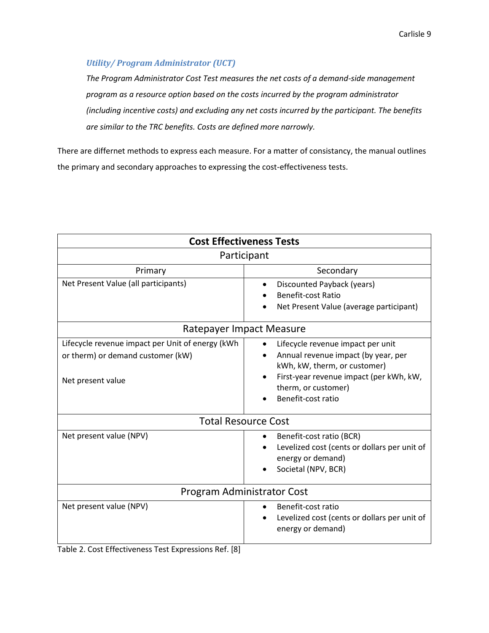#### *Utility/ Program Administrator (UCT)*

*The Program Administrator Cost Test measures the net costs of a demand-side management program as a resource option based on the costs incurred by the program administrator (including incentive costs) and excluding any net costs incurred by the participant. The benefits are similar to the TRC benefits. Costs are defined more narrowly.*

There are differnet methods to express each measure. For a matter of consistancy, the manual outlines the primary and secondary approaches to expressing the cost-effectiveness tests.

| <b>Cost Effectiveness Tests</b>                                                                            |                                                                                                                                                                                                  |  |  |  |
|------------------------------------------------------------------------------------------------------------|--------------------------------------------------------------------------------------------------------------------------------------------------------------------------------------------------|--|--|--|
| Participant                                                                                                |                                                                                                                                                                                                  |  |  |  |
| Primary                                                                                                    | Secondary                                                                                                                                                                                        |  |  |  |
| Net Present Value (all participants)                                                                       | Discounted Payback (years)<br><b>Benefit-cost Ratio</b><br>Net Present Value (average participant)                                                                                               |  |  |  |
|                                                                                                            | Ratepayer Impact Measure                                                                                                                                                                         |  |  |  |
| Lifecycle revenue impact per Unit of energy (kWh<br>or therm) or demand customer (kW)<br>Net present value | Lifecycle revenue impact per unit<br>Annual revenue impact (by year, per<br>kWh, kW, therm, or customer)<br>First-year revenue impact (per kWh, kW,<br>therm, or customer)<br>Benefit-cost ratio |  |  |  |
|                                                                                                            | <b>Total Resource Cost</b>                                                                                                                                                                       |  |  |  |
| Net present value (NPV)                                                                                    | Benefit-cost ratio (BCR)<br>$\bullet$<br>Levelized cost (cents or dollars per unit of<br>energy or demand)<br>Societal (NPV, BCR)                                                                |  |  |  |
| Program Administrator Cost                                                                                 |                                                                                                                                                                                                  |  |  |  |
| Net present value (NPV)                                                                                    | Benefit-cost ratio<br>$\bullet$<br>Levelized cost (cents or dollars per unit of<br>energy or demand)                                                                                             |  |  |  |

Table 2. Cost Effectiveness Test Expressions Ref. [8]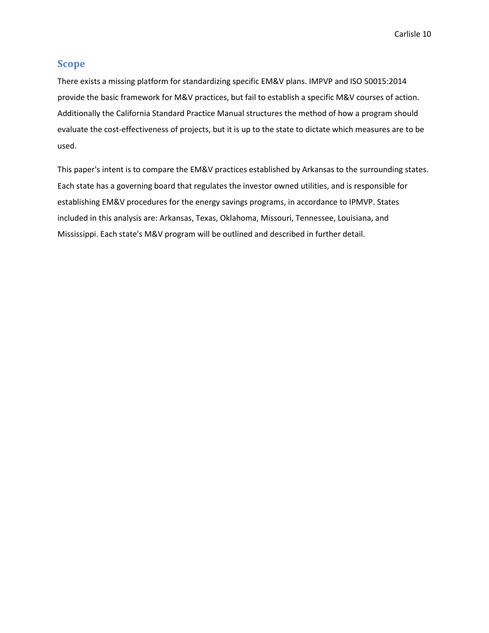Carlisle 10

#### <span id="page-13-0"></span>**Scope**

There exists a missing platform for standardizing specific EM&V plans. IMPVP and ISO 50015:2014 provide the basic framework for M&V practices, but fail to establish a specific M&V courses of action. Additionally the California Standard Practice Manual structures the method of how a program should evaluate the cost-effectiveness of projects, but it is up to the state to dictate which measures are to be used.

<span id="page-13-1"></span>This paper's intent is to compare the EM&V practices established by Arkansas to the surrounding states. Each state has a governing board that regulates the investor owned utilities, and is responsible for establishing EM&V procedures for the energy savings programs, in accordance to IPMVP. States included in this analysis are: Arkansas, Texas, Oklahoma, Missouri, Tennessee, Louisiana, and Mississippi. Each state's M&V program will be outlined and described in further detail.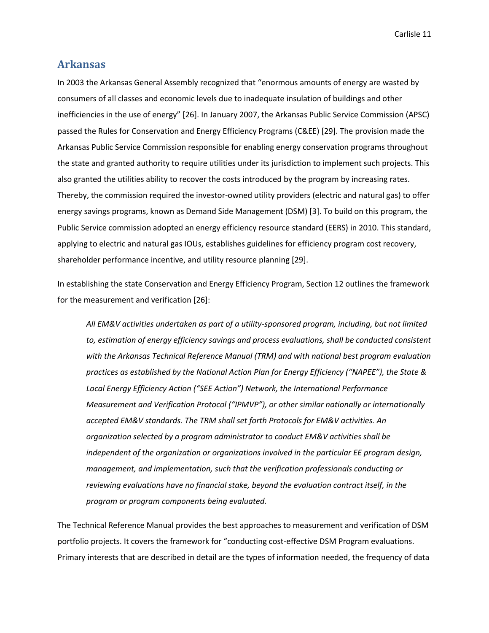Carlisle 11

#### **Arkansas**

In 2003 the Arkansas General Assembly recognized that "enormous amounts of energy are wasted by consumers of all classes and economic levels due to inadequate insulation of buildings and other inefficiencies in the use of energy" [26]. In January 2007, the Arkansas Public Service Commission (APSC) passed the Rules for Conservation and Energy Efficiency Programs (C&EE) [29]. The provision made the Arkansas Public Service Commission responsible for enabling energy conservation programs throughout the state and granted authority to require utilities under its jurisdiction to implement such projects. This also granted the utilities ability to recover the costs introduced by the program by increasing rates. Thereby, the commission required the investor-owned utility providers (electric and natural gas) to offer energy savings programs, known as Demand Side Management (DSM) [3]. To build on this program, the Public Service commission adopted an energy efficiency resource standard (EERS) in 2010. This standard, applying to electric and natural gas IOUs, establishes guidelines for efficiency program cost recovery, shareholder performance incentive, and utility resource planning [29].

In establishing the state Conservation and Energy Efficiency Program, Section 12 outlines the framework for the measurement and verification [26]:

*All EM&V activities undertaken as part of a utility-sponsored program, including, but not limited to, estimation of energy efficiency savings and process evaluations, shall be conducted consistent with the Arkansas Technical Reference Manual (TRM) and with national best program evaluation practices as established by the National Action Plan for Energy Efficiency ("NAPEE"), the State & Local Energy Efficiency Action ("SEE Action") Network, the International Performance Measurement and Verification Protocol ("IPMVP"), or other similar nationally or internationally accepted EM&V standards. The TRM shall set forth Protocols for EM&V activities. An organization selected by a program administrator to conduct EM&V activities shall be independent of the organization or organizations involved in the particular EE program design, management, and implementation, such that the verification professionals conducting or reviewing evaluations have no financial stake, beyond the evaluation contract itself, in the program or program components being evaluated.*

The Technical Reference Manual provides the best approaches to measurement and verification of DSM portfolio projects. It covers the framework for "conducting cost-effective DSM Program evaluations. Primary interests that are described in detail are the types of information needed, the frequency of data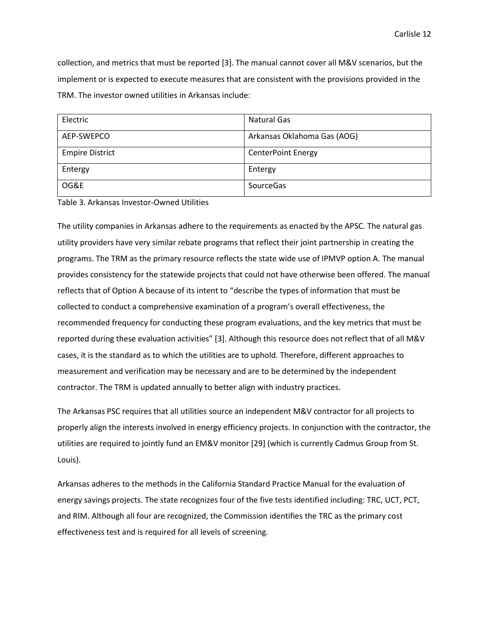collection, and metrics that must be reported [3]. The manual cannot cover all M&V scenarios, but the implement or is expected to execute measures that are consistent with the provisions provided in the TRM. The investor owned utilities in Arkansas include:

| Electric               | Natural Gas                 |
|------------------------|-----------------------------|
| AEP-SWEPCO             | Arkansas Oklahoma Gas (AOG) |
| <b>Empire District</b> | <b>CenterPoint Energy</b>   |
| Entergy                | Entergy                     |
| OG&E                   | SourceGas                   |

Table 3. Arkansas Investor-Owned Utilities

The utility companies in Arkansas adhere to the requirements as enacted by the APSC. The natural gas utility providers have very similar rebate programs that reflect their joint partnership in creating the programs. The TRM as the primary resource reflects the state wide use of IPMVP option A. The manual provides consistency for the statewide projects that could not have otherwise been offered. The manual reflects that of Option A because of its intent to "describe the types of information that must be collected to conduct a comprehensive examination of a program's overall effectiveness, the recommended frequency for conducting these program evaluations, and the key metrics that must be reported during these evaluation activities" [3]. Although this resource does not reflect that of all M&V cases, it is the standard as to which the utilities are to uphold. Therefore, different approaches to measurement and verification may be necessary and are to be determined by the independent contractor. The TRM is updated annually to better align with industry practices.

The Arkansas PSC requires that all utilities source an independent M&V contractor for all projects to properly align the interests involved in energy efficiency projects. In conjunction with the contractor, the utilities are required to jointly fund an EM&V monitor [29] (which is currently Cadmus Group from St. Louis).

Arkansas adheres to the methods in the California Standard Practice Manual for the evaluation of energy savings projects. The state recognizes four of the five tests identified including: TRC, UCT, PCT, and RIM. Although all four are recognized, the Commission identifies the TRC as the primary cost effectiveness test and is required for all levels of screening.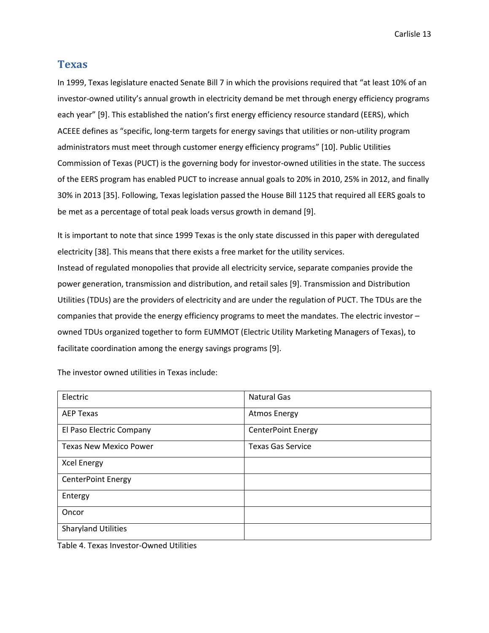Carlisle 13

# <span id="page-16-0"></span>**Texas**

In 1999, Texas legislature enacted Senate Bill 7 in which the provisions required that "at least 10% of an investor-owned utility's annual growth in electricity demand be met through energy efficiency programs each year" [9]. This established the nation's first energy efficiency resource standard (EERS), which ACEEE defines as "specific, long-term targets for energy savings that utilities or non-utility program administrators must meet through customer energy efficiency programs" [10]. Public Utilities Commission of Texas (PUCT) is the governing body for investor-owned utilities in the state. The success of the EERS program has enabled PUCT to increase annual goals to 20% in 2010, 25% in 2012, and finally 30% in 2013 [35]. Following, Texas legislation passed the House Bill 1125 that required all EERS goals to be met as a percentage of total peak loads versus growth in demand [9].

It is important to note that since 1999 Texas is the only state discussed in this paper with deregulated electricity [38]. This means that there exists a free market for the utility services. Instead of regulated monopolies that provide all electricity service, separate companies provide the power generation, transmission and distribution, and retail sales [9]. Transmission and Distribution Utilities (TDUs) are the providers of electricity and are under the regulation of PUCT. The TDUs are the companies that provide the energy efficiency programs to meet the mandates. The electric investor – owned TDUs organized together to form EUMMOT (Electric Utility Marketing Managers of Texas), to facilitate coordination among the energy savings programs [9].

| Electric                      | <b>Natural Gas</b>        |
|-------------------------------|---------------------------|
| <b>AEP Texas</b>              | <b>Atmos Energy</b>       |
| El Paso Electric Company      | <b>CenterPoint Energy</b> |
| <b>Texas New Mexico Power</b> | <b>Texas Gas Service</b>  |
| <b>Xcel Energy</b>            |                           |
| <b>CenterPoint Energy</b>     |                           |
| Entergy                       |                           |
| Oncor                         |                           |
| <b>Sharyland Utilities</b>    |                           |

The investor owned utilities in Texas include:

Table 4. Texas Investor-Owned Utilities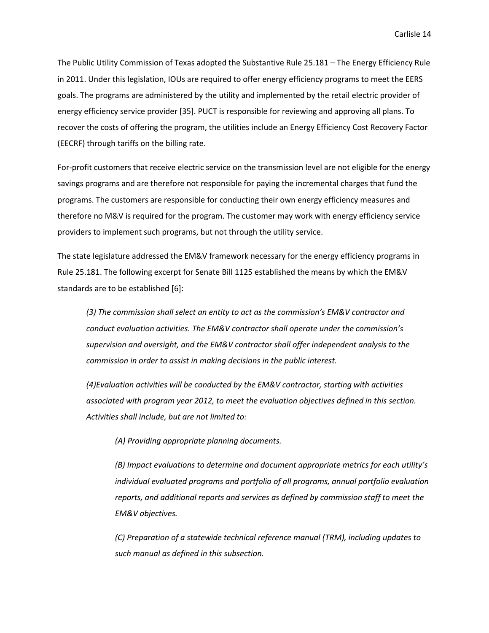The Public Utility Commission of Texas adopted the Substantive Rule 25.181 – The Energy Efficiency Rule in 2011. Under this legislation, IOUs are required to offer energy efficiency programs to meet the EERS goals. The programs are administered by the utility and implemented by the retail electric provider of energy efficiency service provider [35]. PUCT is responsible for reviewing and approving all plans. To recover the costs of offering the program, the utilities include an Energy Efficiency Cost Recovery Factor (EECRF) through tariffs on the billing rate.

For-profit customers that receive electric service on the transmission level are not eligible for the energy savings programs and are therefore not responsible for paying the incremental charges that fund the programs. The customers are responsible for conducting their own energy efficiency measures and therefore no M&V is required for the program. The customer may work with energy efficiency service providers to implement such programs, but not through the utility service.

The state legislature addressed the EM&V framework necessary for the energy efficiency programs in Rule 25.181. The following excerpt for Senate Bill 1125 established the means by which the EM&V standards are to be established [6]:

*(3) The commission shall select an entity to act as the commission's EM&V contractor and conduct evaluation activities. The EM&V contractor shall operate under the commission's supervision and oversight, and the EM&V contractor shall offer independent analysis to the commission in order to assist in making decisions in the public interest.*

*(4)Evaluation activities will be conducted by the EM&V contractor, starting with activities associated with program year 2012, to meet the evaluation objectives defined in this section. Activities shall include, but are not limited to:* 

*(A) Providing appropriate planning documents.* 

*(B) Impact evaluations to determine and document appropriate metrics for each utility's individual evaluated programs and portfolio of all programs, annual portfolio evaluation reports, and additional reports and services as defined by commission staff to meet the EM&V objectives.* 

*(C) Preparation of a statewide technical reference manual (TRM), including updates to such manual as defined in this subsection.*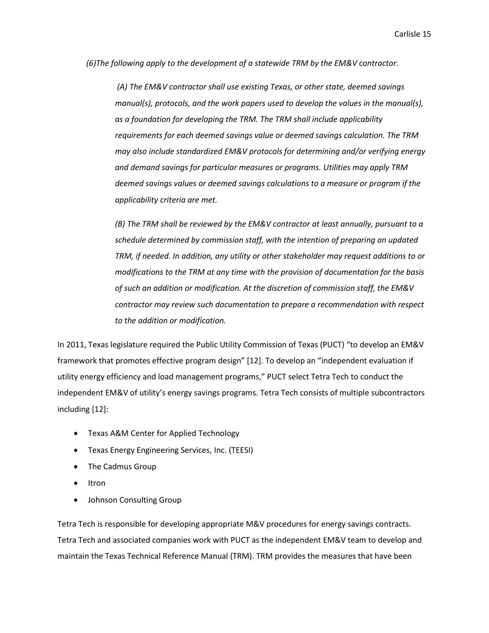*(6)The following apply to the development of a statewide TRM by the EM&V contractor.*

*(A) The EM&V contractor shall use existing Texas, or other state, deemed savings manual(s), protocols, and the work papers used to develop the values in the manual(s), as a foundation for developing the TRM. The TRM shall include applicability requirements for each deemed savings value or deemed savings calculation. The TRM may also include standardized EM&V protocols for determining and/or verifying energy and demand savings for particular measures or programs. Utilities may apply TRM deemed savings values or deemed savings calculations to a measure or program if the applicability criteria are met.* 

*(B) The TRM shall be reviewed by the EM&V contractor at least annually, pursuant to a schedule determined by commission staff, with the intention of preparing an updated TRM, if needed. In addition, any utility or other stakeholder may request additions to or modifications to the TRM at any time with the provision of documentation for the basis of such an addition or modification. At the discretion of commission staff, the EM&V contractor may review such documentation to prepare a recommendation with respect to the addition or modification.*

In 2011, Texas legislature required the Public Utility Commission of Texas (PUCT) "to develop an EM&V framework that promotes effective program design" [12]. To develop an "independent evaluation if utility energy efficiency and load management programs," PUCT select Tetra Tech to conduct the independent EM&V of utility's energy savings programs. Tetra Tech consists of multiple subcontractors including [12]:

- Texas A&M Center for Applied Technology
- Texas Energy Engineering Services, Inc. (TEESI)
- The Cadmus Group
- Itron
- Johnson Consulting Group

Tetra Tech is responsible for developing appropriate M&V procedures for energy savings contracts. Tetra Tech and associated companies work with PUCT as the independent EM&V team to develop and maintain the Texas Technical Reference Manual (TRM). TRM provides the measures that have been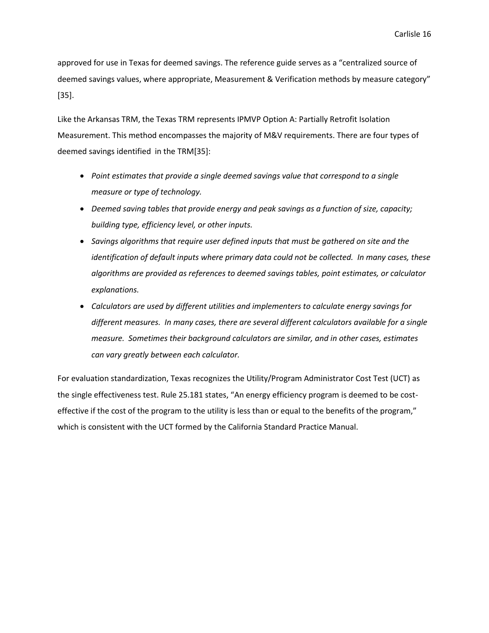approved for use in Texas for deemed savings. The reference guide serves as a "centralized source of deemed savings values, where appropriate, Measurement & Verification methods by measure category" [35].

Like the Arkansas TRM, the Texas TRM represents IPMVP Option A: Partially Retrofit Isolation Measurement. This method encompasses the majority of M&V requirements. There are four types of deemed savings identified in the TRM[35]:

- *Point estimates that provide a single deemed savings value that correspond to a single measure or type of technology.*
- *Deemed saving tables that provide energy and peak savings as a function of size, capacity; building type, efficiency level, or other inputs.*
- *Savings algorithms that require user defined inputs that must be gathered on site and the identification of default inputs where primary data could not be collected. In many cases, these algorithms are provided as references to deemed savings tables, point estimates, or calculator explanations.*
- *Calculators are used by different utilities and implementers to calculate energy savings for different measures. In many cases, there are several different calculators available for a single measure. Sometimes their background calculators are similar, and in other cases, estimates can vary greatly between each calculator.*

For evaluation standardization, Texas recognizes the Utility/Program Administrator Cost Test (UCT) as the single effectiveness test. Rule 25.181 states, "An energy efficiency program is deemed to be costeffective if the cost of the program to the utility is less than or equal to the benefits of the program," which is consistent with the UCT formed by the California Standard Practice Manual.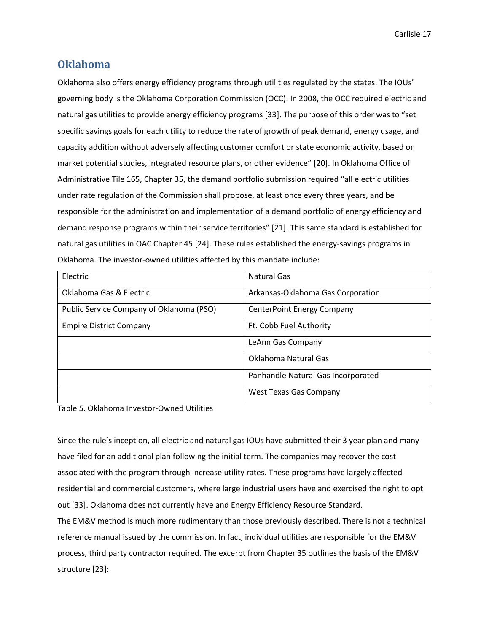## <span id="page-20-0"></span>**Oklahoma**

Oklahoma also offers energy efficiency programs through utilities regulated by the states. The IOUs' governing body is the Oklahoma Corporation Commission (OCC). In 2008, the OCC required electric and natural gas utilities to provide energy efficiency programs [33]. The purpose of this order was to "set specific savings goals for each utility to reduce the rate of growth of peak demand, energy usage, and capacity addition without adversely affecting customer comfort or state economic activity, based on market potential studies, integrated resource plans, or other evidence" [20]. In Oklahoma Office of Administrative Tile 165, Chapter 35, the demand portfolio submission required "all electric utilities under rate regulation of the Commission shall propose, at least once every three years, and be responsible for the administration and implementation of a demand portfolio of energy efficiency and demand response programs within their service territories" [21]. This same standard is established for natural gas utilities in OAC Chapter 45 [24]. These rules established the energy-savings programs in Oklahoma. The investor-owned utilities affected by this mandate include:

| Electric                                 | Natural Gas                        |
|------------------------------------------|------------------------------------|
| Oklahoma Gas & Electric                  | Arkansas-Oklahoma Gas Corporation  |
| Public Service Company of Oklahoma (PSO) | <b>CenterPoint Energy Company</b>  |
| <b>Empire District Company</b>           | Ft. Cobb Fuel Authority            |
|                                          | LeAnn Gas Company                  |
|                                          | Oklahoma Natural Gas               |
|                                          | Panhandle Natural Gas Incorporated |
|                                          | <b>West Texas Gas Company</b>      |

Table 5. Oklahoma Investor-Owned Utilities

Since the rule's inception, all electric and natural gas IOUs have submitted their 3 year plan and many have filed for an additional plan following the initial term. The companies may recover the cost associated with the program through increase utility rates. These programs have largely affected residential and commercial customers, where large industrial users have and exercised the right to opt out [33]. Oklahoma does not currently have and Energy Efficiency Resource Standard. The EM&V method is much more rudimentary than those previously described. There is not a technical reference manual issued by the commission. In fact, individual utilities are responsible for the EM&V process, third party contractor required. The excerpt from Chapter 35 outlines the basis of the EM&V

structure [23]: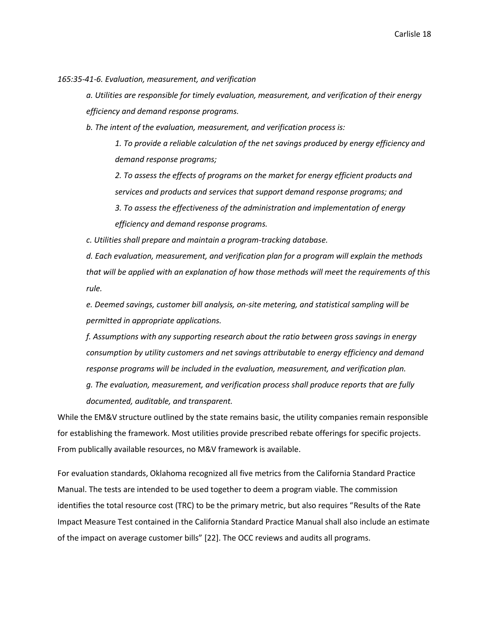*165:35-41-6. Evaluation, measurement, and verification* 

*a. Utilities are responsible for timely evaluation, measurement, and verification of their energy efficiency and demand response programs.*

*b. The intent of the evaluation, measurement, and verification process is:*

*1. To provide a reliable calculation of the net savings produced by energy efficiency and demand response programs;*

*2. To assess the effects of programs on the market for energy efficient products and services and products and services that support demand response programs; and*

*3. To assess the effectiveness of the administration and implementation of energy efficiency and demand response programs.*

*c. Utilities shall prepare and maintain a program-tracking database.*

*d. Each evaluation, measurement, and verification plan for a program will explain the methods that will be applied with an explanation of how those methods will meet the requirements of this rule.*

*e. Deemed savings, customer bill analysis, on-site metering, and statistical sampling will be permitted in appropriate applications.*

*f. Assumptions with any supporting research about the ratio between gross savings in energy consumption by utility customers and net savings attributable to energy efficiency and demand response programs will be included in the evaluation, measurement, and verification plan.*

*g. The evaluation, measurement, and verification process shall produce reports that are fully documented, auditable, and transparent.*

While the EM&V structure outlined by the state remains basic, the utility companies remain responsible for establishing the framework. Most utilities provide prescribed rebate offerings for specific projects. From publically available resources, no M&V framework is available.

For evaluation standards, Oklahoma recognized all five metrics from the California Standard Practice Manual. The tests are intended to be used together to deem a program viable. The commission identifies the total resource cost (TRC) to be the primary metric, but also requires "Results of the Rate Impact Measure Test contained in the California Standard Practice Manual shall also include an estimate of the impact on average customer bills" [22]. The OCC reviews and audits all programs.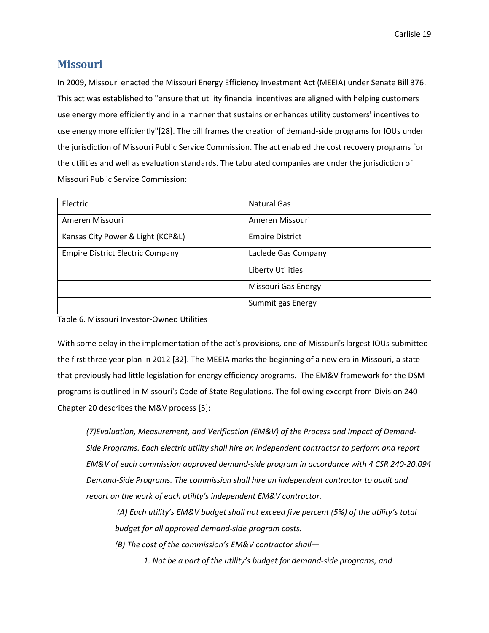## <span id="page-22-0"></span>**Missouri**

In 2009, Missouri enacted the Missouri Energy Efficiency Investment Act (MEEIA) under Senate Bill 376. This act was established to "ensure that utility financial incentives are aligned with helping customers use energy more efficiently and in a manner that sustains or enhances utility customers' incentives to use energy more efficiently"[28]. The bill frames the creation of demand-side programs for IOUs under the jurisdiction of Missouri Public Service Commission. The act enabled the cost recovery programs for the utilities and well as evaluation standards. The tabulated companies are under the jurisdiction of Missouri Public Service Commission:

| Electric                                | Natural Gas            |
|-----------------------------------------|------------------------|
| Ameren Missouri                         | Ameren Missouri        |
| Kansas City Power & Light (KCP&L)       | <b>Empire District</b> |
| <b>Empire District Electric Company</b> | Laclede Gas Company    |
|                                         | Liberty Utilities      |
|                                         | Missouri Gas Energy    |
|                                         | Summit gas Energy      |

Table 6. Missouri Investor-Owned Utilities

With some delay in the implementation of the act's provisions, one of Missouri's largest IOUs submitted the first three year plan in 2012 [32]. The MEEIA marks the beginning of a new era in Missouri, a state that previously had little legislation for energy efficiency programs. The EM&V framework for the DSM programs is outlined in Missouri's Code of State Regulations. The following excerpt from Division 240 Chapter 20 describes the M&V process [5]:

*(7)Evaluation, Measurement, and Verification (EM&V) of the Process and Impact of Demand-Side Programs. Each electric utility shall hire an independent contractor to perform and report EM&V of each commission approved demand-side program in accordance with 4 CSR 240-20.094 Demand-Side Programs. The commission shall hire an independent contractor to audit and report on the work of each utility's independent EM&V contractor.*

*(A) Each utility's EM&V budget shall not exceed five percent (5%) of the utility's total budget for all approved demand-side program costs.* 

*(B) The cost of the commission's EM&V contractor shall—*

*1. Not be a part of the utility's budget for demand-side programs; and*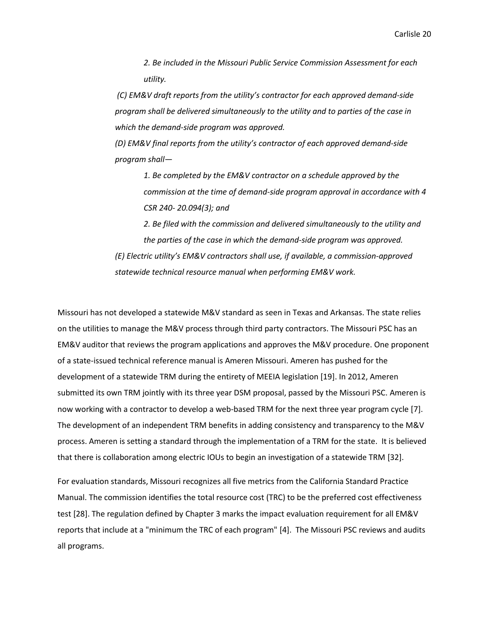*2. Be included in the Missouri Public Service Commission Assessment for each utility.*

*(C) EM&V draft reports from the utility's contractor for each approved demand-side program shall be delivered simultaneously to the utility and to parties of the case in which the demand-side program was approved.* 

*(D) EM&V final reports from the utility's contractor of each approved demand-side program shall—*

*1. Be completed by the EM&V contractor on a schedule approved by the commission at the time of demand-side program approval in accordance with 4 CSR 240- 20.094(3); and* 

*2. Be filed with the commission and delivered simultaneously to the utility and the parties of the case in which the demand-side program was approved. (E) Electric utility's EM&V contractors shall use, if available, a commission-approved statewide technical resource manual when performing EM&V work.*

Missouri has not developed a statewide M&V standard as seen in Texas and Arkansas. The state relies on the utilities to manage the M&V process through third party contractors. The Missouri PSC has an EM&V auditor that reviews the program applications and approves the M&V procedure. One proponent of a state-issued technical reference manual is Ameren Missouri. Ameren has pushed for the development of a statewide TRM during the entirety of MEEIA legislation [19]. In 2012, Ameren submitted its own TRM jointly with its three year DSM proposal, passed by the Missouri PSC. Ameren is now working with a contractor to develop a web-based TRM for the next three year program cycle [7]. The development of an independent TRM benefits in adding consistency and transparency to the M&V process. Ameren is setting a standard through the implementation of a TRM for the state. It is believed that there is collaboration among electric IOUs to begin an investigation of a statewide TRM [32].

For evaluation standards, Missouri recognizes all five metrics from the California Standard Practice Manual. The commission identifies the total resource cost (TRC) to be the preferred cost effectiveness test [28]. The regulation defined by Chapter 3 marks the impact evaluation requirement for all EM&V reports that include at a "minimum the TRC of each program" [4]. The Missouri PSC reviews and audits all programs.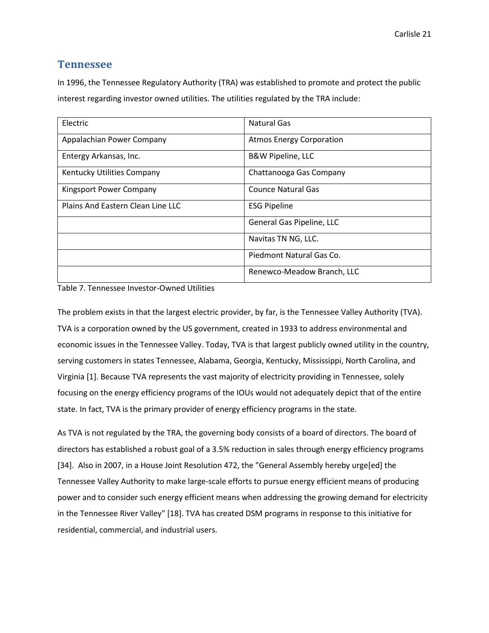# <span id="page-24-0"></span>**Tennessee**

In 1996, the Tennessee Regulatory Authority (TRA) was established to promote and protect the public interest regarding investor owned utilities. The utilities regulated by the TRA include:

| Electric                          | <b>Natural Gas</b>              |
|-----------------------------------|---------------------------------|
| Appalachian Power Company         | <b>Atmos Energy Corporation</b> |
| Entergy Arkansas, Inc.            | B&W Pipeline, LLC               |
| Kentucky Utilities Company        | Chattanooga Gas Company         |
| Kingsport Power Company           | <b>Counce Natural Gas</b>       |
| Plains And Eastern Clean Line LLC | <b>ESG Pipeline</b>             |
|                                   | General Gas Pipeline, LLC       |
|                                   | Navitas TN NG, LLC.             |
|                                   | Piedmont Natural Gas Co.        |
|                                   | Renewco-Meadow Branch, LLC      |

Table 7. Tennessee Investor-Owned Utilities

The problem exists in that the largest electric provider, by far, is the Tennessee Valley Authority (TVA). TVA is a corporation owned by the US government, created in 1933 to address environmental and economic issues in the Tennessee Valley. Today, TVA is that largest publicly owned utility in the country, serving customers in states Tennessee, Alabama, Georgia, Kentucky, Mississippi, North Carolina, and Virginia [1]. Because TVA represents the vast majority of electricity providing in Tennessee, solely focusing on the energy efficiency programs of the IOUs would not adequately depict that of the entire state. In fact, TVA is the primary provider of energy efficiency programs in the state.

As TVA is not regulated by the TRA, the governing body consists of a board of directors. The board of directors has established a robust goal of a 3.5% reduction in sales through energy efficiency programs [34]. Also in 2007, in a House Joint Resolution 472, the "General Assembly hereby urge[ed] the Tennessee Valley Authority to make large-scale efforts to pursue energy efficient means of producing power and to consider such energy efficient means when addressing the growing demand for electricity in the Tennessee River Valley" [18]. TVA has created DSM programs in response to this initiative for residential, commercial, and industrial users.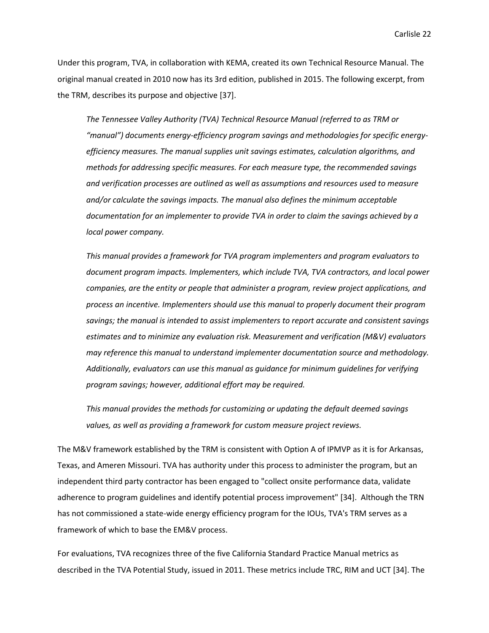Under this program, TVA, in collaboration with KEMA, created its own Technical Resource Manual. The original manual created in 2010 now has its 3rd edition, published in 2015. The following excerpt, from the TRM, describes its purpose and objective [37].

*The Tennessee Valley Authority (TVA) Technical Resource Manual (referred to as TRM or "manual") documents energy-efficiency program savings and methodologies for specific energyefficiency measures. The manual supplies unit savings estimates, calculation algorithms, and methods for addressing specific measures. For each measure type, the recommended savings and verification processes are outlined as well as assumptions and resources used to measure and/or calculate the savings impacts. The manual also defines the minimum acceptable documentation for an implementer to provide TVA in order to claim the savings achieved by a local power company.*

*This manual provides a framework for TVA program implementers and program evaluators to document program impacts. Implementers, which include TVA, TVA contractors, and local power companies, are the entity or people that administer a program, review project applications, and process an incentive. Implementers should use this manual to properly document their program savings; the manual is intended to assist implementers to report accurate and consistent savings estimates and to minimize any evaluation risk. Measurement and verification (M&V) evaluators may reference this manual to understand implementer documentation source and methodology. Additionally, evaluators can use this manual as guidance for minimum guidelines for verifying program savings; however, additional effort may be required.*

*This manual provides the methods for customizing or updating the default deemed savings values, as well as providing a framework for custom measure project reviews.*

The M&V framework established by the TRM is consistent with Option A of IPMVP as it is for Arkansas, Texas, and Ameren Missouri. TVA has authority under this process to administer the program, but an independent third party contractor has been engaged to "collect onsite performance data, validate adherence to program guidelines and identify potential process improvement" [34]. Although the TRN has not commissioned a state-wide energy efficiency program for the IOUs, TVA's TRM serves as a framework of which to base the EM&V process.

For evaluations, TVA recognizes three of the five California Standard Practice Manual metrics as described in the TVA Potential Study, issued in 2011. These metrics include TRC, RIM and UCT [34]. The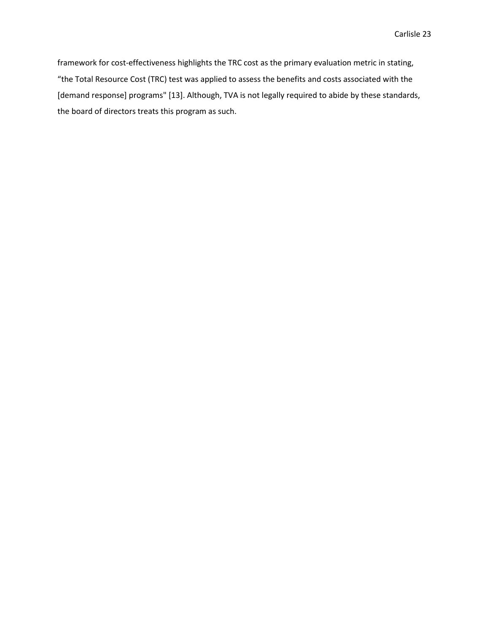framework for cost-effectiveness highlights the TRC cost as the primary evaluation metric in stating, "the Total Resource Cost (TRC) test was applied to assess the benefits and costs associated with the [demand response] programs" [13]. Although, TVA is not legally required to abide by these standards, the board of directors treats this program as such.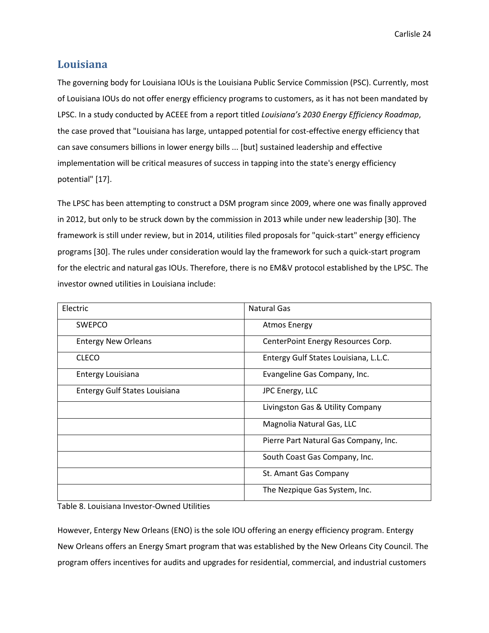# <span id="page-27-0"></span>**Louisiana**

The governing body for Louisiana IOUs is the Louisiana Public Service Commission (PSC). Currently, most of Louisiana IOUs do not offer energy efficiency programs to customers, as it has not been mandated by LPSC. In a study conducted by ACEEE from a report titled *Louisiana's 2030 Energy Efficiency Roadmap*, the case proved that "Louisiana has large, untapped potential for cost-effective energy efficiency that can save consumers billions in lower energy bills ... [but] sustained leadership and effective implementation will be critical measures of success in tapping into the state's energy efficiency potential" [17].

The LPSC has been attempting to construct a DSM program since 2009, where one was finally approved in 2012, but only to be struck down by the commission in 2013 while under new leadership [30]. The framework is still under review, but in 2014, utilities filed proposals for "quick-start" energy efficiency programs [30]. The rules under consideration would lay the framework for such a quick-start program for the electric and natural gas IOUs. Therefore, there is no EM&V protocol established by the LPSC. The investor owned utilities in Louisiana include:

| Electric                             | <b>Natural Gas</b>                    |
|--------------------------------------|---------------------------------------|
| <b>SWEPCO</b>                        | <b>Atmos Energy</b>                   |
| <b>Entergy New Orleans</b>           | CenterPoint Energy Resources Corp.    |
| <b>CLECO</b>                         | Entergy Gulf States Louisiana, L.L.C. |
| Entergy Louisiana                    | Evangeline Gas Company, Inc.          |
| <b>Entergy Gulf States Louisiana</b> | <b>JPC Energy, LLC</b>                |
|                                      | Livingston Gas & Utility Company      |
|                                      | Magnolia Natural Gas, LLC             |
|                                      | Pierre Part Natural Gas Company, Inc. |
|                                      | South Coast Gas Company, Inc.         |
|                                      | St. Amant Gas Company                 |
|                                      | The Nezpique Gas System, Inc.         |

Table 8. Louisiana Investor-Owned Utilities

However, Entergy New Orleans (ENO) is the sole IOU offering an energy efficiency program. Entergy New Orleans offers an Energy Smart program that was established by the New Orleans City Council. The program offers incentives for audits and upgrades for residential, commercial, and industrial customers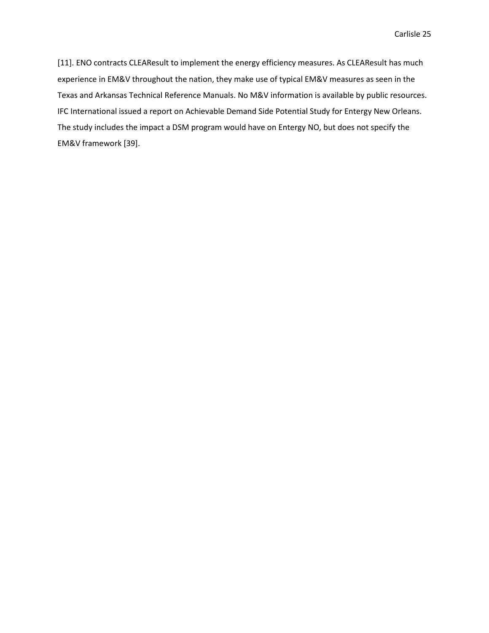<span id="page-28-0"></span>[11]. ENO contracts CLEAResult to implement the energy efficiency measures. As CLEAResult has much experience in EM&V throughout the nation, they make use of typical EM&V measures as seen in the Texas and Arkansas Technical Reference Manuals. No M&V information is available by public resources. IFC International issued a report on Achievable Demand Side Potential Study for Entergy New Orleans. The study includes the impact a DSM program would have on Entergy NO, but does not specify the EM&V framework [39].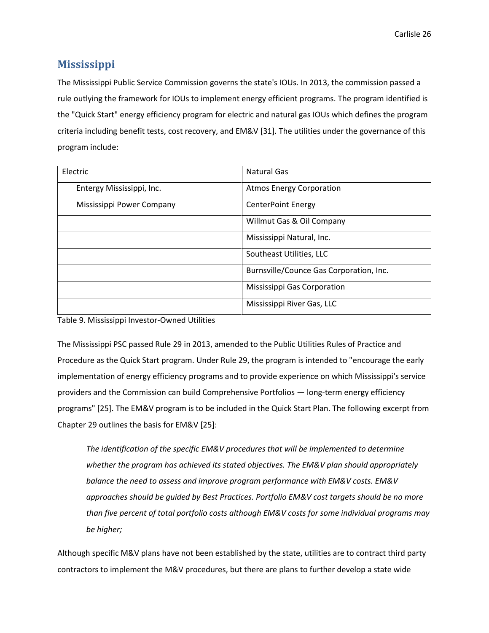# **Mississippi**

The Mississippi Public Service Commission governs the state's IOUs. In 2013, the commission passed a rule outlying the framework for IOUs to implement energy efficient programs. The program identified is the "Quick Start" energy efficiency program for electric and natural gas IOUs which defines the program criteria including benefit tests, cost recovery, and EM&V [31]. The utilities under the governance of this program include:

| Electric                  | Natural Gas                             |
|---------------------------|-----------------------------------------|
| Entergy Mississippi, Inc. | <b>Atmos Energy Corporation</b>         |
| Mississippi Power Company | <b>CenterPoint Energy</b>               |
|                           | Willmut Gas & Oil Company               |
|                           | Mississippi Natural, Inc.               |
|                           | Southeast Utilities, LLC                |
|                           | Burnsville/Counce Gas Corporation, Inc. |
|                           | <b>Mississippi Gas Corporation</b>      |
|                           | Mississippi River Gas, LLC              |

Table 9. Mississippi Investor-Owned Utilities

The Mississippi PSC passed Rule 29 in 2013, amended to the Public Utilities Rules of Practice and Procedure as the Quick Start program. Under Rule 29, the program is intended to "encourage the early implementation of energy efficiency programs and to provide experience on which Mississippi's service providers and the Commission can build Comprehensive Portfolios — long-term energy efficiency programs" [25]. The EM&V program is to be included in the Quick Start Plan. The following excerpt from Chapter 29 outlines the basis for EM&V [25]:

*The identification of the specific EM&V procedures that will be implemented to determine whether the program has achieved its stated objectives. The EM&V plan should appropriately balance the need to assess and improve program performance with EM&V costs. EM&V approaches should be guided by Best Practices. Portfolio EM&V cost targets should be no more than five percent of total portfolio costs although EM&V costs for some individual programs may be higher;*

Although specific M&V plans have not been established by the state, utilities are to contract third party contractors to implement the M&V procedures, but there are plans to further develop a state wide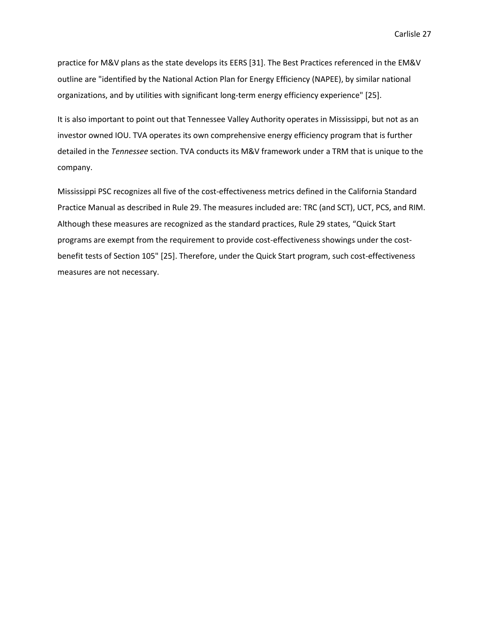Carlisle 27

practice for M&V plans as the state develops its EERS [31]. The Best Practices referenced in the EM&V outline are "identified by the National Action Plan for Energy Efficiency (NAPEE), by similar national organizations, and by utilities with significant long-term energy efficiency experience" [25].

It is also important to point out that Tennessee Valley Authority operates in Mississippi, but not as an investor owned IOU. TVA operates its own comprehensive energy efficiency program that is further detailed in the *Tennessee* section. TVA conducts its M&V framework under a TRM that is unique to the company.

Mississippi PSC recognizes all five of the cost-effectiveness metrics defined in the California Standard Practice Manual as described in Rule 29. The measures included are: TRC (and SCT), UCT, PCS, and RIM. Although these measures are recognized as the standard practices, Rule 29 states, "Quick Start programs are exempt from the requirement to provide cost-effectiveness showings under the costbenefit tests of Section 105" [25]. Therefore, under the Quick Start program, such cost-effectiveness measures are not necessary.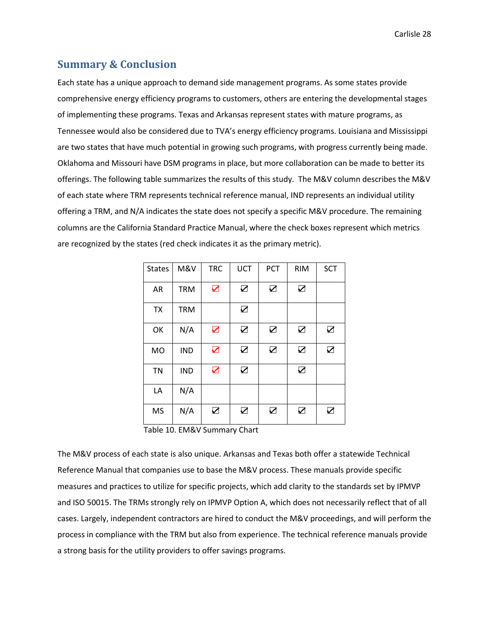# <span id="page-31-0"></span>**Summary & Conclusion**

Each state has a unique approach to demand side management programs. As some states provide comprehensive energy efficiency programs to customers, others are entering the developmental stages of implementing these programs. Texas and Arkansas represent states with mature programs, as Tennessee would also be considered due to TVA's energy efficiency programs. Louisiana and Mississippi are two states that have much potential in growing such programs, with progress currently being made. Oklahoma and Missouri have DSM programs in place, but more collaboration can be made to better its offerings. The following table summarizes the results of this study. The M&V column describes the M&V of each state where TRM represents technical reference manual, IND represents an individual utility offering a TRM, and N/A indicates the state does not specify a specific M&V procedure. The remaining columns are the California Standard Practice Manual, where the check boxes represent which metrics are recognized by the states (red check indicates it as the primary metric).

| <b>States</b> | M&V        | <b>TRC</b>            | <b>UCT</b>           | PCT                  | <b>RIM</b>           | <b>SCT</b>            |
|---------------|------------|-----------------------|----------------------|----------------------|----------------------|-----------------------|
| AR            | <b>TRM</b> | $\boldsymbol{\nabla}$ | $\blacktriangledown$ | $\blacktriangledown$ | $\blacktriangledown$ |                       |
| <b>TX</b>     | <b>TRM</b> |                       | $\blacktriangledown$ |                      |                      |                       |
| OK            | N/A        | $\boldsymbol{\nabla}$ | $\blacktriangledown$ | $\blacktriangledown$ | $\sum$               | $\sum$                |
| <b>MO</b>     | <b>IND</b> | $\boldsymbol{\nabla}$ | $\blacktriangledown$ | $\sum$               | $\sum$               | $\blacktriangledown$  |
| <b>TN</b>     | <b>IND</b> | $\boldsymbol{\nabla}$ | $\blacktriangledown$ |                      | $\sum$               |                       |
| LA            | N/A        |                       |                      |                      |                      |                       |
| <b>MS</b>     | N/A        | $\boldsymbol{\nabla}$ | $\blacktriangledown$ | $\blacktriangledown$ | $\sum$               | $\boldsymbol{\nabla}$ |

Table 10. EM&V Summary Chart

The M&V process of each state is also unique. Arkansas and Texas both offer a statewide Technical Reference Manual that companies use to base the M&V process. These manuals provide specific measures and practices to utilize for specific projects, which add clarity to the standards set by IPMVP and ISO 50015. The TRMs strongly rely on IPMVP Option A, which does not necessarily reflect that of all cases. Largely, independent contractors are hired to conduct the M&V proceedings, and will perform the process in compliance with the TRM but also from experience. The technical reference manuals provide a strong basis for the utility providers to offer savings programs.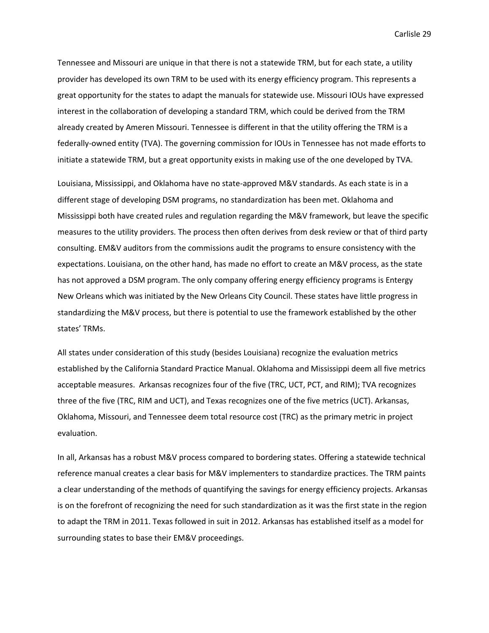Carlisle 29

Tennessee and Missouri are unique in that there is not a statewide TRM, but for each state, a utility provider has developed its own TRM to be used with its energy efficiency program. This represents a great opportunity for the states to adapt the manuals for statewide use. Missouri IOUs have expressed interest in the collaboration of developing a standard TRM, which could be derived from the TRM already created by Ameren Missouri. Tennessee is different in that the utility offering the TRM is a federally-owned entity (TVA). The governing commission for IOUs in Tennessee has not made efforts to initiate a statewide TRM, but a great opportunity exists in making use of the one developed by TVA.

Louisiana, Mississippi, and Oklahoma have no state-approved M&V standards. As each state is in a different stage of developing DSM programs, no standardization has been met. Oklahoma and Mississippi both have created rules and regulation regarding the M&V framework, but leave the specific measures to the utility providers. The process then often derives from desk review or that of third party consulting. EM&V auditors from the commissions audit the programs to ensure consistency with the expectations. Louisiana, on the other hand, has made no effort to create an M&V process, as the state has not approved a DSM program. The only company offering energy efficiency programs is Entergy New Orleans which was initiated by the New Orleans City Council. These states have little progress in standardizing the M&V process, but there is potential to use the framework established by the other states' TRMs.

All states under consideration of this study (besides Louisiana) recognize the evaluation metrics established by the California Standard Practice Manual. Oklahoma and Mississippi deem all five metrics acceptable measures. Arkansas recognizes four of the five (TRC, UCT, PCT, and RIM); TVA recognizes three of the five (TRC, RIM and UCT), and Texas recognizes one of the five metrics (UCT). Arkansas, Oklahoma, Missouri, and Tennessee deem total resource cost (TRC) as the primary metric in project evaluation.

<span id="page-32-0"></span>In all, Arkansas has a robust M&V process compared to bordering states. Offering a statewide technical reference manual creates a clear basis for M&V implementers to standardize practices. The TRM paints a clear understanding of the methods of quantifying the savings for energy efficiency projects. Arkansas is on the forefront of recognizing the need for such standardization as it was the first state in the region to adapt the TRM in 2011. Texas followed in suit in 2012. Arkansas has established itself as a model for surrounding states to base their EM&V proceedings.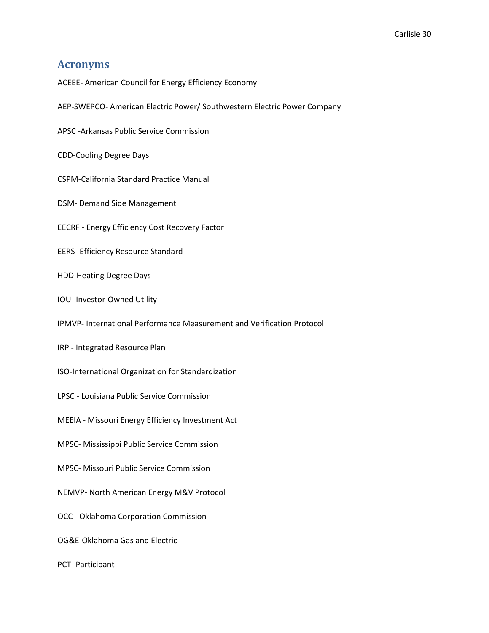# **Acronyms**

ACEEE- American Council for Energy Efficiency Economy

- AEP-SWEPCO- American Electric Power/ Southwestern Electric Power Company
- APSC -Arkansas Public Service Commission
- CDD-Cooling Degree Days
- CSPM-California Standard Practice Manual
- DSM- Demand Side Management
- EECRF Energy Efficiency Cost Recovery Factor
- [EERS-](http://www.aceee.org/glossary/9#term415) Efficiency Resource Standard
- HDD-Heating Degree Days
- IOU- Investor-Owned Utility
- IPMVP- International Performance Measurement and Verification Protocol
- IRP [Integrated Resource Plan](http://www.aceee.org/glossary/9#term423)
- ISO-International Organization for Standardization
- LPSC Louisiana Public Service Commission
- MEEIA Missouri Energy Efficiency Investment Act
- MPSC- Mississippi Public Service Commission
- MPSC- Missouri Public Service Commission
- NEMVP- North American Energy M&V Protocol
- OCC Oklahoma Corporation Commission
- OG&E-Oklahoma Gas and Electric
- PCT -Participant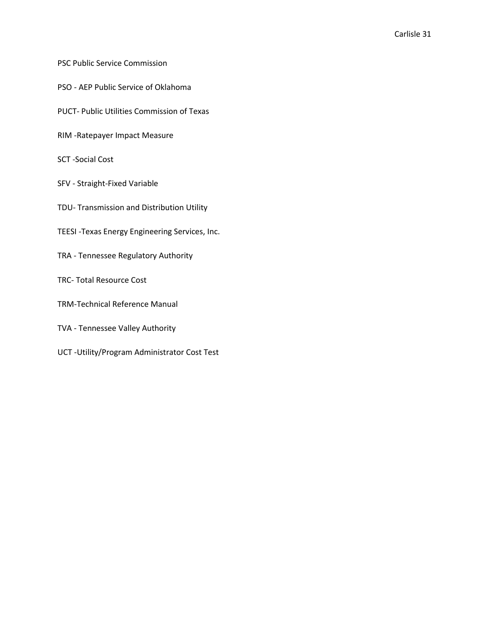- PSC Public Service Commission
- PSO AEP Public Service of Oklahoma
- PUCT- Public Utilities Commission of Texas
- RIM -Ratepayer Impact Measure
- SCT -Social Cost
- SFV Straight-Fixed Variable
- TDU- Transmission and Distribution Utility
- TEESI -Texas Energy Engineering Services, Inc.
- TRA Tennessee Regulatory Authority
- TRC- Total Resource Cost
- TRM-Technical Reference Manual
- TVA Tennessee Valley Authority
- UCT -Utility/Program Administrator Cost Test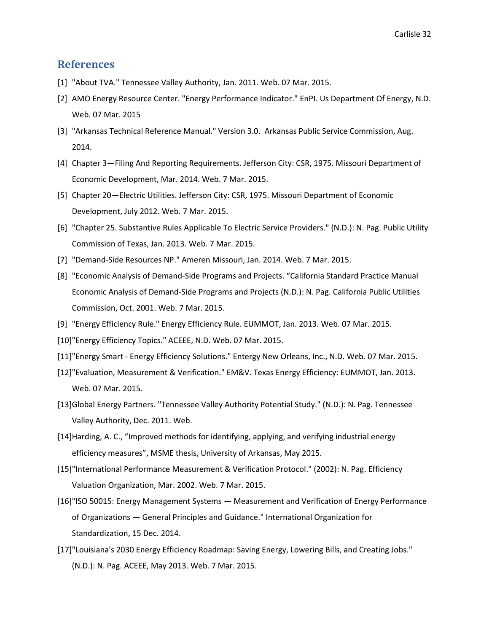## <span id="page-35-0"></span>**References**

- [1] "About TVA." Tennessee Valley Authority, Jan. 2011. Web. 07 Mar. 2015.
- [2] AMO Energy Resource Center. "Energy Performance Indicator." EnPI. Us Department Of Energy, N.D. Web. 07 Mar. 2015
- [3] "Arkansas Technical Reference Manual." Version 3.0. Arkansas Public Service Commission, Aug. 2014.
- [4] Chapter 3—Filing And Reporting Requirements. Jefferson City: CSR, 1975. Missouri Department of Economic Development, Mar. 2014. Web. 7 Mar. 2015.
- [5] Chapter 20—Electric Utilities. Jefferson City: CSR, 1975. Missouri Department of Economic Development, July 2012. Web. 7 Mar. 2015.
- [6] "Chapter 25. Substantive Rules Applicable To Electric Service Providers." (N.D.): N. Pag. Public Utility Commission of Texas, Jan. 2013. Web. 7 Mar. 2015.
- [7] "Demand-Side Resources NP." Ameren Missouri, Jan. 2014. Web. 7 Mar. 2015.
- [8] "Economic Analysis of Demand-Side Programs and Projects. "California Standard Practice Manual Economic Analysis of Demand-Side Programs and Projects (N.D.): N. Pag. California Public Utilities Commission, Oct. 2001. Web. 7 Mar. 2015.
- [9] "Energy Efficiency Rule." Energy Efficiency Rule. EUMMOT, Jan. 2013. Web. 07 Mar. 2015.
- [10]"Energy Efficiency Topics." ACEEE, N.D. Web. 07 Mar. 2015.
- [11]"Energy Smart Energy Efficiency Solutions." Entergy New Orleans, Inc., N.D. Web. 07 Mar. 2015.
- [12]"Evaluation, Measurement & Verification." EM&V. Texas Energy Efficiency: EUMMOT, Jan. 2013. Web. 07 Mar. 2015.
- [13]Global Energy Partners. "Tennessee Valley Authority Potential Study." (N.D.): N. Pag. Tennessee Valley Authority, Dec. 2011. Web.
- [14]Harding, A. C., "Improved methods for identifying, applying, and verifying industrial energy efficiency measures", MSME thesis, University of Arkansas, May 2015.
- [15]"International Performance Measurement & Verification Protocol." (2002): N. Pag. Efficiency Valuation Organization, Mar. 2002. Web. 7 Mar. 2015.
- [16]"ISO 50015: Energy Management Systems Measurement and Verification of Energy Performance of Organizations — General Principles and Guidance." International Organization for Standardization, 15 Dec. 2014.
- [17]"Louisiana's 2030 Energy Efficiency Roadmap: Saving Energy, Lowering Bills, and Creating Jobs." (N.D.): N. Pag. ACEEE, May 2013. Web. 7 Mar. 2015.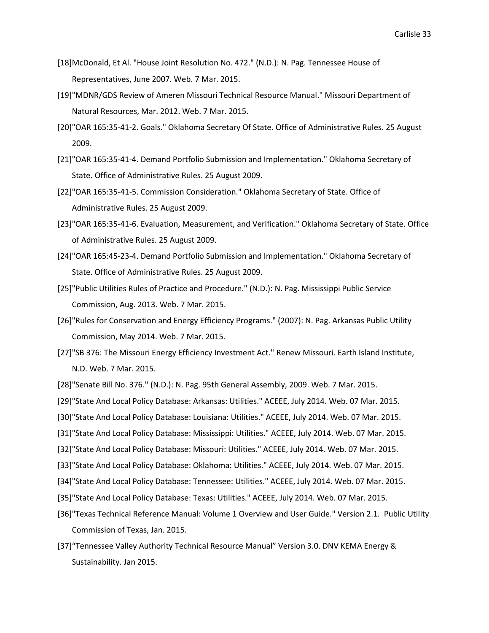- [18]McDonald, Et Al. "House Joint Resolution No. 472." (N.D.): N. Pag. Tennessee House of Representatives, June 2007. Web. 7 Mar. 2015.
- [19]"MDNR/GDS Review of Ameren Missouri Technical Resource Manual." Missouri Department of Natural Resources, Mar. 2012. Web. 7 Mar. 2015.
- [20]"OAR 165:35-41-2. Goals." Oklahoma Secretary Of State. Office of Administrative Rules. 25 August 2009.
- [21]"OAR 165:35-41-4. Demand Portfolio Submission and Implementation." Oklahoma Secretary of State. Office of Administrative Rules. 25 August 2009.
- [22]"OAR 165:35-41-5. Commission Consideration." Oklahoma Secretary of State. Office of Administrative Rules. 25 August 2009.
- [23]"OAR 165:35-41-6. Evaluation, Measurement, and Verification." Oklahoma Secretary of State. Office of Administrative Rules. 25 August 2009.
- [24]"OAR 165:45-23-4. Demand Portfolio Submission and Implementation." Oklahoma Secretary of State. Office of Administrative Rules. 25 August 2009.
- [25]"Public Utilities Rules of Practice and Procedure." (N.D.): N. Pag. Mississippi Public Service Commission, Aug. 2013. Web. 7 Mar. 2015.
- [26]"Rules for Conservation and Energy Efficiency Programs." (2007): N. Pag. Arkansas Public Utility Commission, May 2014. Web. 7 Mar. 2015.
- [27]"SB 376: The Missouri Energy Efficiency Investment Act." Renew Missouri. Earth Island Institute, N.D. Web. 7 Mar. 2015.
- [28]"Senate Bill No. 376." (N.D.): N. Pag. 95th General Assembly, 2009. Web. 7 Mar. 2015.
- [29]"State And Local Policy Database: Arkansas: Utilities." ACEEE, July 2014. Web. 07 Mar. 2015.
- [30]"State And Local Policy Database: Louisiana: Utilities." ACEEE, July 2014. Web. 07 Mar. 2015.
- [31]"State And Local Policy Database: Mississippi: Utilities." ACEEE, July 2014. Web. 07 Mar. 2015.
- [32]"State And Local Policy Database: Missouri: Utilities." ACEEE, July 2014. Web. 07 Mar. 2015.
- [33]"State And Local Policy Database: Oklahoma: Utilities." ACEEE, July 2014. Web. 07 Mar. 2015.
- [34]"State And Local Policy Database: Tennessee: Utilities." ACEEE, July 2014. Web. 07 Mar. 2015.
- [35]"State And Local Policy Database: Texas: Utilities." ACEEE, July 2014. Web. 07 Mar. 2015.
- [36]"Texas Technical Reference Manual: Volume 1 Overview and User Guide." Version 2.1. Public Utility Commission of Texas, Jan. 2015.
- [37]"Tennessee Valley Authority Technical Resource Manual" Version 3.0. DNV KEMA Energy & Sustainability. Jan 2015.